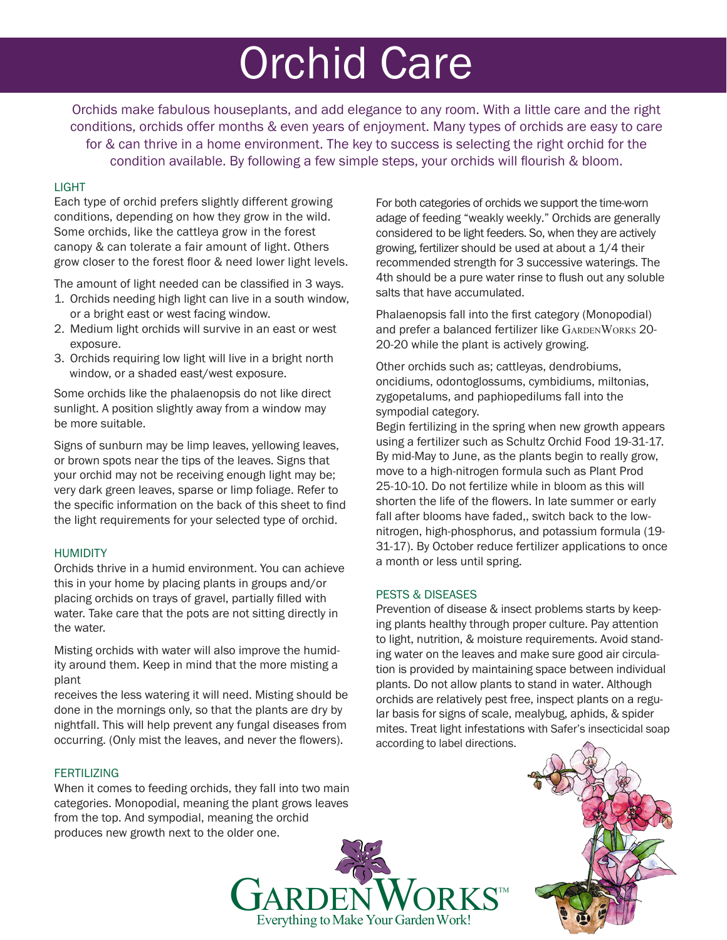# Orchid Care

Orchids make fabulous houseplants, and add elegance to any room. With a little care and the right conditions, orchids offer months & even years of enjoyment. Many types of orchids are easy to care for & can thrive in a home environment. The key to success is selecting the right orchid for the condition available. By following a few simple steps, your orchids will flourish & bloom.

## LIGHT

Each type of orchid prefers slightly different growing conditions, depending on how they grow in the wild. Some orchids, like the cattleya grow in the forest canopy & can tolerate a fair amount of light. Others grow closer to the forest floor & need lower light levels.

The amount of light needed can be classified in 3 ways.

- 1. Orchids needing high light can live in a south window, or a bright east or west facing window.
- 2. Medium light orchids will survive in an east or west exposure.
- 3. Orchids requiring low light will live in a bright north window, or a shaded east/west exposure.

Some orchids like the phalaenopsis do not like direct sunlight. A position slightly away from a window may be more suitable.

Signs of sunburn may be limp leaves, yellowing leaves, or brown spots near the tips of the leaves. Signs that your orchid may not be receiving enough light may be; very dark green leaves, sparse or limp foliage. Refer to the specific information on the back of this sheet to find the light requirements for your selected type of orchid.

#### HUMIDITY

Orchids thrive in a humid environment. You can achieve this in your home by placing plants in groups and/or placing orchids on trays of gravel, partially filled with water. Take care that the pots are not sitting directly in the water.

Misting orchids with water will also improve the humidity around them. Keep in mind that the more misting a plant

receives the less watering it will need. Misting should be done in the mornings only, so that the plants are dry by nightfall. This will help prevent any fungal diseases from occurring. (Only mist the leaves, and never the flowers).

## **FERTILIZING**

When it comes to feeding orchids, they fall into two main categories. Monopodial, meaning the plant grows leaves from the top. And sympodial, meaning the orchid produces new growth next to the older one.

For both categories of orchids we support the time-worn adage of feeding "weakly weekly." Orchids are generally considered to be light feeders. So, when they are actively growing, fertilizer should be used at about a 1/4 their recommended strength for 3 successive waterings. The 4th should be a pure water rinse to flush out any soluble salts that have accumulated.

Phalaenopsis fall into the first category (Monopodial) and prefer a balanced fertilizer like GARDENWORKS 20-20-20 while the plant is actively growing.

Other orchids such as; cattleyas, dendrobiums, oncidiums, odontoglossums, cymbidiums, miltonias, zygopetalums, and paphiopedilums fall into the sympodial category.

Begin fertilizing in the spring when new growth appears using a fertilizer such as Schultz Orchid Food 19-31-17. By mid-May to June, as the plants begin to really grow, move to a high-nitrogen formula such as Plant Prod 25-10-10. Do not fertilize while in bloom as this will shorten the life of the flowers. In late summer or early fall after blooms have faded,, switch back to the lownitrogen, high-phosphorus, and potassium formula (19- 31-17). By October reduce fertilizer applications to once a month or less until spring.

#### PESTS & DISEASES

 $\mathbf{G}$ ARDEN WORKS<sup>TM</sup><br>Everything to Make Your Garden Work!

Prevention of disease & insect problems starts by keeping plants healthy through proper culture. Pay attention to light, nutrition, & moisture requirements. Avoid standing water on the leaves and make sure good air circulation is provided by maintaining space between individual plants. Do not allow plants to stand in water. Although orchids are relatively pest free, inspect plants on a regular basis for signs of scale, mealybug, aphids, & spider mites. Treat light infestations with Safer's insecticidal soap according to label directions.